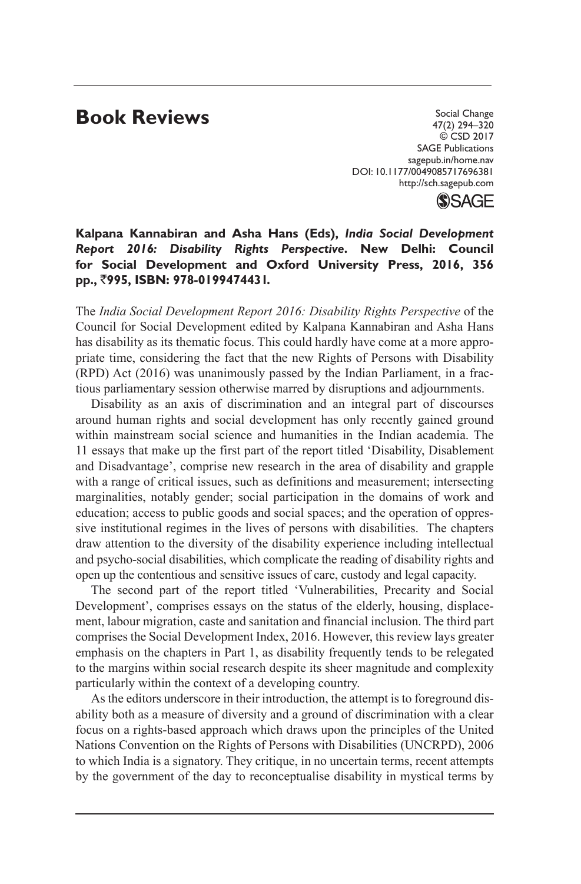## **Book Reviews**

Social Change 47(2) 294–320 © CSD 2017 SAGE Publications sagepub.in/home.nav DOI: 10.1177/0049085717696381 http://sch.sagepub.com



## **Kalpana Kannabiran and Asha Hans (Eds),** *India Social Development Report 2016: Disability Rights Perspective***. New Delhi: Council for Social Development and Oxford University Press, 2016, 356 pp.,** `**995, ISBN: 978-0199474431.**

The *India Social Development Report 2016: Disability Rights Perspective* of the Council for Social Development edited by Kalpana Kannabiran and Asha Hans has disability as its thematic focus. This could hardly have come at a more appropriate time, considering the fact that the new Rights of Persons with Disability (RPD) Act (2016) was unanimously passed by the Indian Parliament, in a fractious parliamentary session otherwise marred by disruptions and adjournments.

Disability as an axis of discrimination and an integral part of discourses around human rights and social development has only recently gained ground within mainstream social science and humanities in the Indian academia. The 11 essays that make up the first part of the report titled 'Disability, Disablement and Disadvantage', comprise new research in the area of disability and grapple with a range of critical issues, such as definitions and measurement; intersecting marginalities, notably gender; social participation in the domains of work and education; access to public goods and social spaces; and the operation of oppressive institutional regimes in the lives of persons with disabilities. The chapters draw attention to the diversity of the disability experience including intellectual and psycho-social disabilities, which complicate the reading of disability rights and open up the contentious and sensitive issues of care, custody and legal capacity.

The second part of the report titled 'Vulnerabilities, Precarity and Social Development', comprises essays on the status of the elderly, housing, displacement, labour migration, caste and sanitation and financial inclusion. The third part comprises the Social Development Index, 2016. However, this review lays greater emphasis on the chapters in Part 1, as disability frequently tends to be relegated to the margins within social research despite its sheer magnitude and complexity particularly within the context of a developing country.

As the editors underscore in their introduction, the attempt is to foreground disability both as a measure of diversity and a ground of discrimination with a clear focus on a rights-based approach which draws upon the principles of the United Nations Convention on the Rights of Persons with Disabilities (UNCRPD), 2006 to which India is a signatory. They critique, in no uncertain terms, recent attempts by the government of the day to reconceptualise disability in mystical terms by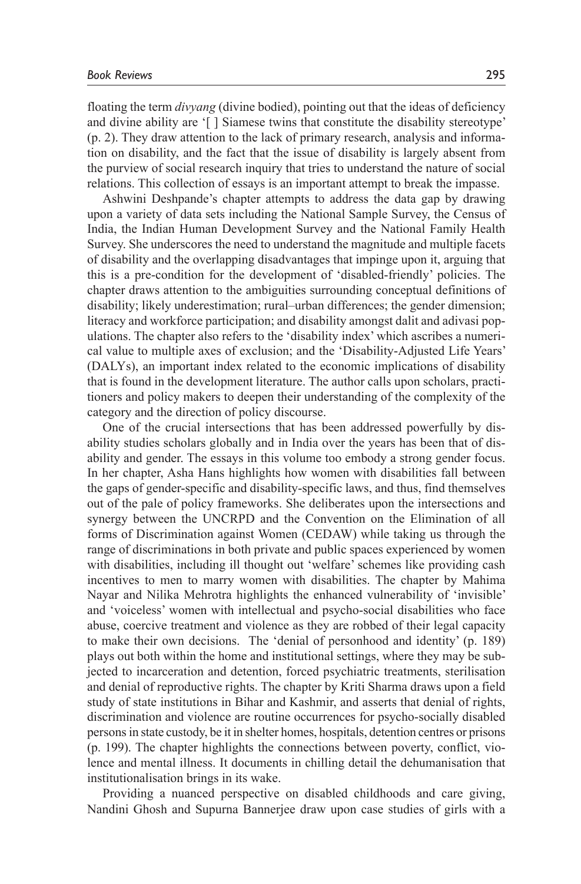floating the term *divyang* (divine bodied), pointing out that the ideas of deficiency and divine ability are '[ ] Siamese twins that constitute the disability stereotype' (p. 2). They draw attention to the lack of primary research, analysis and information on disability, and the fact that the issue of disability is largely absent from the purview of social research inquiry that tries to understand the nature of social relations. This collection of essays is an important attempt to break the impasse.

Ashwini Deshpande's chapter attempts to address the data gap by drawing upon a variety of data sets including the National Sample Survey, the Census of India, the Indian Human Development Survey and the National Family Health Survey. She underscores the need to understand the magnitude and multiple facets of disability and the overlapping disadvantages that impinge upon it, arguing that this is a pre-condition for the development of 'disabled-friendly' policies. The chapter draws attention to the ambiguities surrounding conceptual definitions of disability; likely underestimation; rural–urban differences; the gender dimension; literacy and workforce participation; and disability amongst dalit and adivasi populations. The chapter also refers to the 'disability index' which ascribes a numerical value to multiple axes of exclusion; and the 'Disability-Adjusted Life Years' (DALYs), an important index related to the economic implications of disability that is found in the development literature. The author calls upon scholars, practitioners and policy makers to deepen their understanding of the complexity of the category and the direction of policy discourse.

One of the crucial intersections that has been addressed powerfully by disability studies scholars globally and in India over the years has been that of disability and gender. The essays in this volume too embody a strong gender focus. In her chapter, Asha Hans highlights how women with disabilities fall between the gaps of gender-specific and disability-specific laws, and thus, find themselves out of the pale of policy frameworks. She deliberates upon the intersections and synergy between the UNCRPD and the Convention on the Elimination of all forms of Discrimination against Women (CEDAW) while taking us through the range of discriminations in both private and public spaces experienced by women with disabilities, including ill thought out 'welfare' schemes like providing cash incentives to men to marry women with disabilities. The chapter by Mahima Nayar and Nilika Mehrotra highlights the enhanced vulnerability of 'invisible' and 'voiceless' women with intellectual and psycho-social disabilities who face abuse, coercive treatment and violence as they are robbed of their legal capacity to make their own decisions. The 'denial of personhood and identity' (p. 189) plays out both within the home and institutional settings, where they may be subjected to incarceration and detention, forced psychiatric treatments, sterilisation and denial of reproductive rights. The chapter by Kriti Sharma draws upon a field study of state institutions in Bihar and Kashmir, and asserts that denial of rights, discrimination and violence are routine occurrences for psycho-socially disabled persons in state custody, be it in shelter homes, hospitals, detention centres or prisons (p. 199). The chapter highlights the connections between poverty, conflict, violence and mental illness. It documents in chilling detail the dehumanisation that institutionalisation brings in its wake.

Providing a nuanced perspective on disabled childhoods and care giving, Nandini Ghosh and Supurna Bannerjee draw upon case studies of girls with a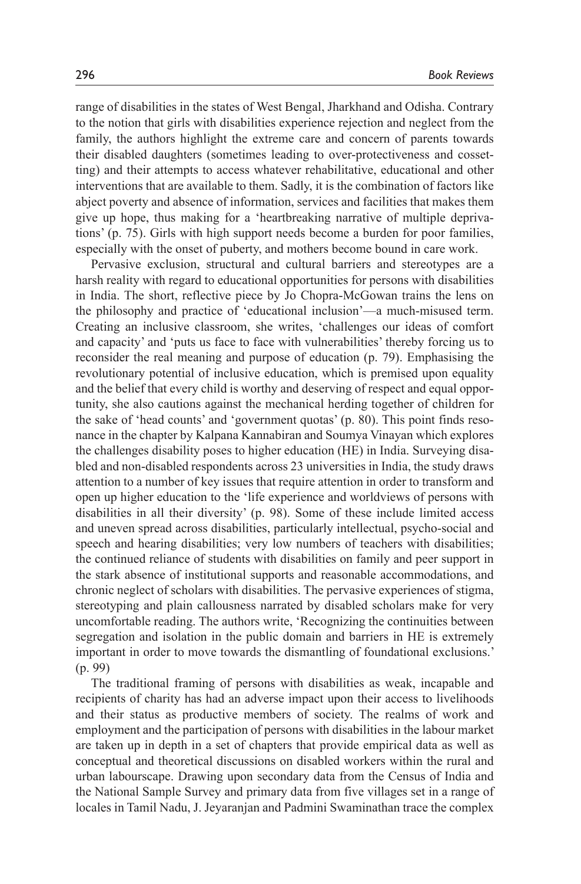range of disabilities in the states of West Bengal, Jharkhand and Odisha. Contrary to the notion that girls with disabilities experience rejection and neglect from the family, the authors highlight the extreme care and concern of parents towards their disabled daughters (sometimes leading to over-protectiveness and cossetting) and their attempts to access whatever rehabilitative, educational and other interventions that are available to them. Sadly, it is the combination of factors like abject poverty and absence of information, services and facilities that makes them give up hope, thus making for a 'heartbreaking narrative of multiple deprivations' (p. 75). Girls with high support needs become a burden for poor families, especially with the onset of puberty, and mothers become bound in care work.

Pervasive exclusion, structural and cultural barriers and stereotypes are a harsh reality with regard to educational opportunities for persons with disabilities in India. The short, reflective piece by Jo Chopra-McGowan trains the lens on the philosophy and practice of 'educational inclusion'—a much-misused term. Creating an inclusive classroom, she writes, 'challenges our ideas of comfort and capacity' and 'puts us face to face with vulnerabilities' thereby forcing us to reconsider the real meaning and purpose of education (p. 79). Emphasising the revolutionary potential of inclusive education, which is premised upon equality and the belief that every child is worthy and deserving of respect and equal opportunity, she also cautions against the mechanical herding together of children for the sake of 'head counts' and 'government quotas' (p. 80). This point finds resonance in the chapter by Kalpana Kannabiran and Soumya Vinayan which explores the challenges disability poses to higher education (HE) in India. Surveying disabled and non-disabled respondents across 23 universities in India, the study draws attention to a number of key issues that require attention in order to transform and open up higher education to the 'life experience and worldviews of persons with disabilities in all their diversity' (p. 98). Some of these include limited access and uneven spread across disabilities, particularly intellectual, psycho-social and speech and hearing disabilities; very low numbers of teachers with disabilities; the continued reliance of students with disabilities on family and peer support in the stark absence of institutional supports and reasonable accommodations, and chronic neglect of scholars with disabilities. The pervasive experiences of stigma, stereotyping and plain callousness narrated by disabled scholars make for very uncomfortable reading. The authors write, 'Recognizing the continuities between segregation and isolation in the public domain and barriers in HE is extremely important in order to move towards the dismantling of foundational exclusions.' (p. 99)

The traditional framing of persons with disabilities as weak, incapable and recipients of charity has had an adverse impact upon their access to livelihoods and their status as productive members of society. The realms of work and employment and the participation of persons with disabilities in the labour market are taken up in depth in a set of chapters that provide empirical data as well as conceptual and theoretical discussions on disabled workers within the rural and urban labourscape. Drawing upon secondary data from the Census of India and the National Sample Survey and primary data from five villages set in a range of locales in Tamil Nadu, J. Jeyaranjan and Padmini Swaminathan trace the complex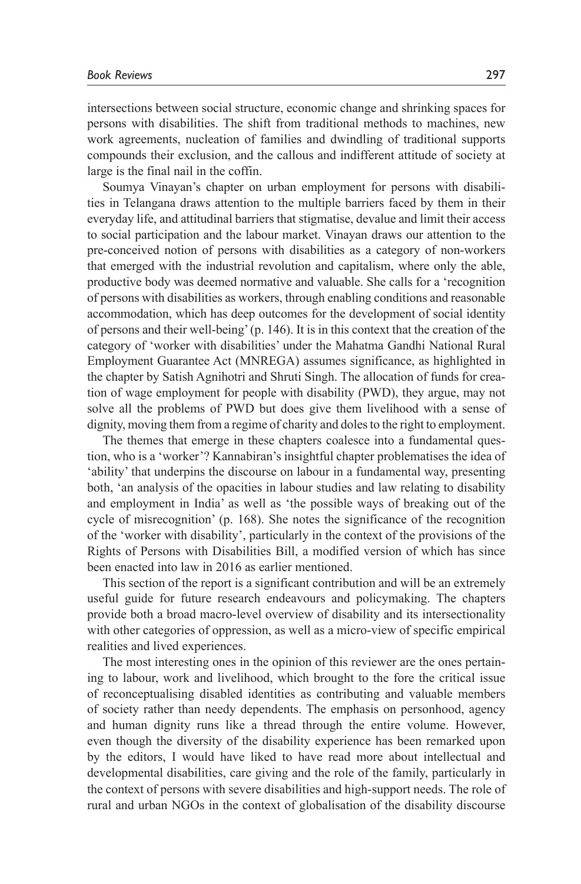intersections between social structure, economic change and shrinking spaces for persons with disabilities. The shift from traditional methods to machines, new work agreements, nucleation of families and dwindling of traditional supports compounds their exclusion, and the callous and indifferent attitude of society at large is the final nail in the coffin.

Soumya Vinayan's chapter on urban employment for persons with disabilities in Telangana draws attention to the multiple barriers faced by them in their everyday life, and attitudinal barriers that stigmatise, devalue and limit their access to social participation and the labour market. Vinayan draws our attention to the pre-conceived notion of persons with disabilities as a category of non-workers that emerged with the industrial revolution and capitalism, where only the able, productive body was deemed normative and valuable. She calls for a 'recognition of persons with disabilities as workers, through enabling conditions and reasonable accommodation, which has deep outcomes for the development of social identity of persons and their well-being' (p. 146). It is in this context that the creation of the category of 'worker with disabilities' under the Mahatma Gandhi National Rural Employment Guarantee Act (MNREGA) assumes significance, as highlighted in the chapter by Satish Agnihotri and Shruti Singh. The allocation of funds for creation of wage employment for people with disability (PWD), they argue, may not solve all the problems of PWD but does give them livelihood with a sense of dignity, moving them from a regime of charity and doles to the right to employment.

The themes that emerge in these chapters coalesce into a fundamental question, who is a 'worker'? Kannabiran's insightful chapter problematises the idea of 'ability' that underpins the discourse on labour in a fundamental way, presenting both, 'an analysis of the opacities in labour studies and law relating to disability and employment in India' as well as 'the possible ways of breaking out of the cycle of misrecognition' (p. 168). She notes the significance of the recognition of the 'worker with disability', particularly in the context of the provisions of the Rights of Persons with Disabilities Bill, a modified version of which has since been enacted into law in 2016 as earlier mentioned.

This section of the report is a significant contribution and will be an extremely useful guide for future research endeavours and policymaking. The chapters provide both a broad macro-level overview of disability and its intersectionality with other categories of oppression, as well as a micro-view of specific empirical realities and lived experiences.

The most interesting ones in the opinion of this reviewer are the ones pertaining to labour, work and livelihood, which brought to the fore the critical issue of reconceptualising disabled identities as contributing and valuable members of society rather than needy dependents. The emphasis on personhood, agency and human dignity runs like a thread through the entire volume. However, even though the diversity of the disability experience has been remarked upon by the editors, I would have liked to have read more about intellectual and developmental disabilities, care giving and the role of the family, particularly in the context of persons with severe disabilities and high-support needs. The role of rural and urban NGOs in the context of globalisation of the disability discourse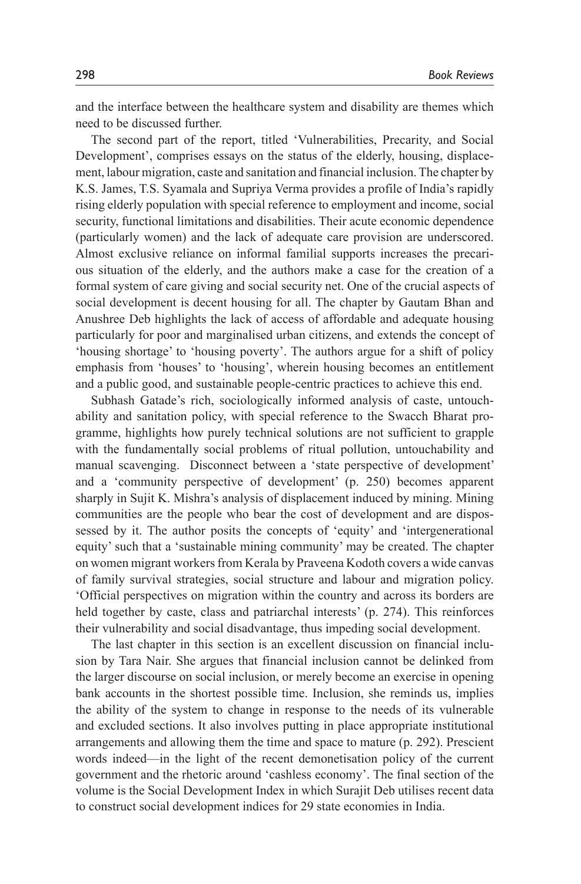and the interface between the healthcare system and disability are themes which need to be discussed further.

The second part of the report, titled 'Vulnerabilities, Precarity, and Social Development', comprises essays on the status of the elderly, housing, displacement, labour migration, caste and sanitation and financial inclusion. The chapter by K.S. James, T.S. Syamala and Supriya Verma provides a profile of India's rapidly rising elderly population with special reference to employment and income, social security, functional limitations and disabilities. Their acute economic dependence (particularly women) and the lack of adequate care provision are underscored. Almost exclusive reliance on informal familial supports increases the precarious situation of the elderly, and the authors make a case for the creation of a formal system of care giving and social security net. One of the crucial aspects of social development is decent housing for all. The chapter by Gautam Bhan and Anushree Deb highlights the lack of access of affordable and adequate housing particularly for poor and marginalised urban citizens, and extends the concept of 'housing shortage' to 'housing poverty'. The authors argue for a shift of policy emphasis from 'houses' to 'housing', wherein housing becomes an entitlement and a public good, and sustainable people-centric practices to achieve this end.

Subhash Gatade's rich, sociologically informed analysis of caste, untouchability and sanitation policy, with special reference to the Swacch Bharat programme, highlights how purely technical solutions are not sufficient to grapple with the fundamentally social problems of ritual pollution, untouchability and manual scavenging. Disconnect between a 'state perspective of development' and a 'community perspective of development' (p. 250) becomes apparent sharply in Sujit K. Mishra's analysis of displacement induced by mining. Mining communities are the people who bear the cost of development and are dispossessed by it. The author posits the concepts of 'equity' and 'intergenerational equity' such that a 'sustainable mining community' may be created. The chapter on women migrant workers from Kerala by Praveena Kodoth covers a wide canvas of family survival strategies, social structure and labour and migration policy. 'Official perspectives on migration within the country and across its borders are held together by caste, class and patriarchal interests' (p. 274). This reinforces their vulnerability and social disadvantage, thus impeding social development.

The last chapter in this section is an excellent discussion on financial inclusion by Tara Nair. She argues that financial inclusion cannot be delinked from the larger discourse on social inclusion, or merely become an exercise in opening bank accounts in the shortest possible time. Inclusion, she reminds us, implies the ability of the system to change in response to the needs of its vulnerable and excluded sections. It also involves putting in place appropriate institutional arrangements and allowing them the time and space to mature (p. 292). Prescient words indeed—in the light of the recent demonetisation policy of the current government and the rhetoric around 'cashless economy'. The final section of the volume is the Social Development Index in which Surajit Deb utilises recent data to construct social development indices for 29 state economies in India.